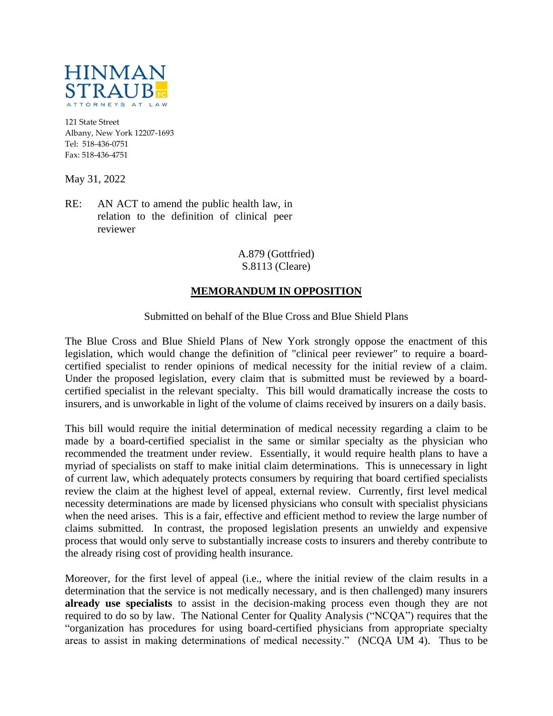

121 State Street Albany, New York 12207-1693 Tel: 518-436-0751 Fax: 518-436-4751

May 31, 2022

RE: AN ACT to amend the public health law, in relation to the definition of clinical peer reviewer

## A.879 (Gottfried) S.8113 (Cleare)

## **MEMORANDUM IN OPPOSITION**

## Submitted on behalf of the Blue Cross and Blue Shield Plans

The Blue Cross and Blue Shield Plans of New York strongly oppose the enactment of this legislation, which would change the definition of "clinical peer reviewer" to require a boardcertified specialist to render opinions of medical necessity for the initial review of a claim. Under the proposed legislation, every claim that is submitted must be reviewed by a boardcertified specialist in the relevant specialty. This bill would dramatically increase the costs to insurers, and is unworkable in light of the volume of claims received by insurers on a daily basis.

This bill would require the initial determination of medical necessity regarding a claim to be made by a board-certified specialist in the same or similar specialty as the physician who recommended the treatment under review. Essentially, it would require health plans to have a myriad of specialists on staff to make initial claim determinations. This is unnecessary in light of current law, which adequately protects consumers by requiring that board certified specialists review the claim at the highest level of appeal, external review. Currently, first level medical necessity determinations are made by licensed physicians who consult with specialist physicians when the need arises. This is a fair, effective and efficient method to review the large number of claims submitted. In contrast, the proposed legislation presents an unwieldy and expensive process that would only serve to substantially increase costs to insurers and thereby contribute to the already rising cost of providing health insurance.

Moreover, for the first level of appeal (i.e., where the initial review of the claim results in a determination that the service is not medically necessary, and is then challenged) many insurers **already use specialists** to assist in the decision-making process even though they are not required to do so by law. The National Center for Quality Analysis ("NCQA") requires that the "organization has procedures for using board-certified physicians from appropriate specialty areas to assist in making determinations of medical necessity." (NCQA UM 4). Thus to be